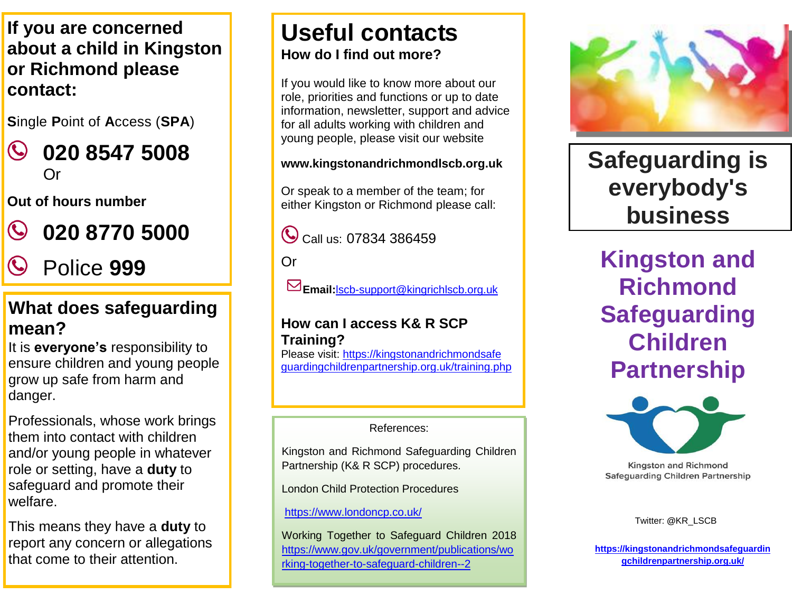**If you are concerned or Richmond please about a child in Kingston contact:** 

**S**ingle **P**oint of **A**ccess (**SPA**)

 $\mathbf{C}$ **020 8547 5008** Or

**Out of hours number**



**020 8770 5000**

Police **999**

#### **What does safeguarding mean?**  $\mathbf{D}$  of order of order of order of order order of  $\mathbf{D}$

It is **everyone's** responsibility to ensure children and young people grow up safe from harm and danger.

Professionals, whose work brings them into contact with children and/or young people in whatever role or setting, have a **duty** to safeguard and promote their welfare.

This means they have a **duty** to report any concern or allegations that come to their attention.

## **Useful contacts How do I find out more?**

If you would like to know more about our role, priorities and functions or up to date information, newsletter, support and advice for all adults working with children and young people, please visit our website

#### **www.kingstonandrichmondlscb.org.uk**

Or speak to a member of the team; for either Kingston or Richmond please call:

Call us: 07834 386459

Or

**Email:**[lscb-support@kingrichlscb.org.uk](mailto:lscb-support@kingrichlscb.org.uk)

#### **How can I access K& R SCP Training?**

Please visit: https://kingstonandrichmondsafe guardingchildrenpartnership.org.uk/training.php

#### References:

Kingston and Richmond Safeguarding Children Partnership (K& R SCP) procedures.

London Child Protection Procedures

<https://www.londoncp.co.uk/>

Working Together to Safeguard Children 2018 [https://www.gov.uk/government/publications/wo](https://www.gov.uk/government/publications/working-together-to-safeguard-children--2) [rking-together-to-safeguard-children--2](https://www.gov.uk/government/publications/working-together-to-safeguard-children--2)



**Safeguarding is everybody's business**

**Kingston and Richmond Safeguarding Children Partnership**



**Kingston and Richmond Safeguarding Children Partnership** 

Twitter: **@**[KR\\_LSCB](https://twitter.com/KR_LSCB)

**[https://kingstonandrichmondsafeguardin](https://kingstonandrichmondsafeguardingchildrenpartnership.org.uk/) [gchildrenpartnership.org.uk/](https://kingstonandrichmondsafeguardingchildrenpartnership.org.uk/)**